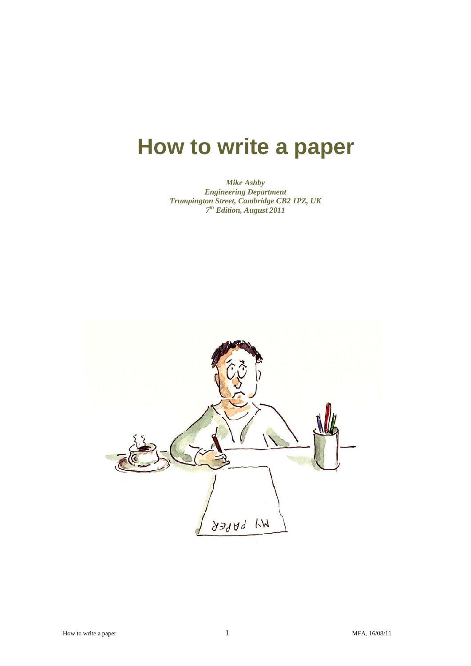# **How to write a paper**

*Mike Ashby Engineering Department Trumpington Street, Cambridge CB2 1PZ, UK 7th Edition, August 2011* 

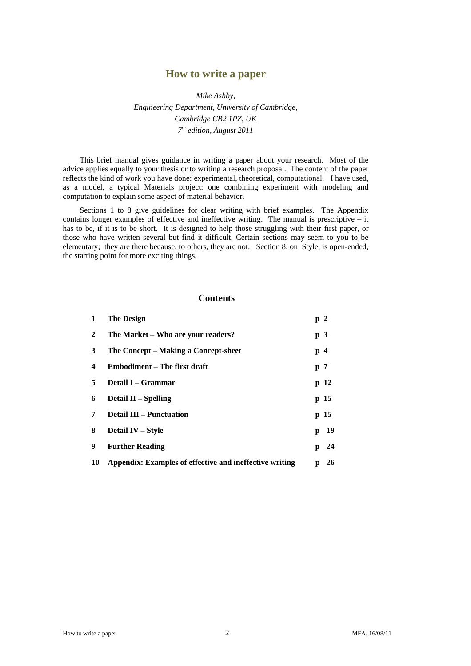# **How to write a paper**

*Mike Ashby, Engineering Department, University of Cambridge, Cambridge CB2 1PZ, UK 7th edition, August 2011* 

This brief manual gives guidance in writing a paper about your research. Most of the advice applies equally to your thesis or to writing a research proposal. The content of the paper reflects the kind of work you have done: experimental, theoretical, computational. I have used, as a model, a typical Materials project: one combining experiment with modeling and computation to explain some aspect of material behavior.

 Sections 1 to 8 give guidelines for clear writing with brief examples. The Appendix contains longer examples of effective and ineffective writing. The manual is prescriptive – it has to be, if it is to be short. It is designed to help those struggling with their first paper, or those who have written several but find it difficult. Certain sections may seem to you to be elementary; they are there because, to others, they are not. Section 8, on Style, is open-ended, the starting point for more exciting things.

# **Contents**

| 1                       | <b>The Design</b>                                       |   | p2             |
|-------------------------|---------------------------------------------------------|---|----------------|
| $\overline{2}$          | The Market – Who are your readers?                      |   | p <sub>3</sub> |
| 3                       | The Concept – Making a Concept-sheet                    |   | p4             |
| $\overline{\mathbf{4}}$ | Embodiment – The first draft                            |   | p <sub>7</sub> |
| 5                       | Detail I – Grammar                                      |   | p 12           |
| 6                       | Detail $II$ – Spelling                                  |   | p 15           |
| 7                       | <b>Detail III – Punctuation</b>                         |   | p 15           |
| 8                       | Detail IV - Style                                       | p | -19            |
| 9                       | <b>Further Reading</b>                                  | p | - 24           |
| 10                      | Appendix: Examples of effective and ineffective writing | p | 26             |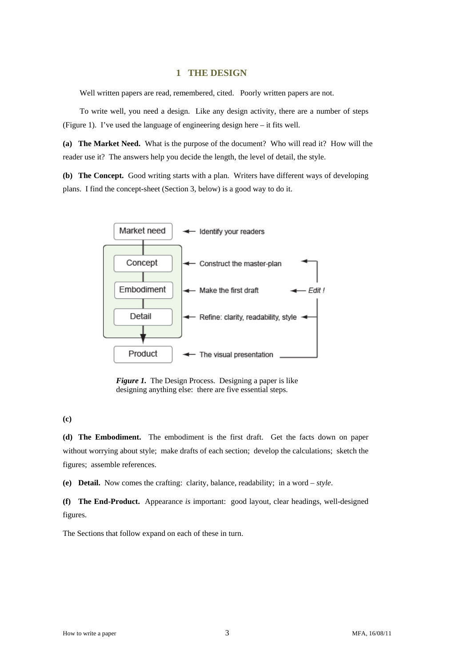# **1 THE DESIGN**

Well written papers are read, remembered, cited. Poorly written papers are not.

 To write well, you need a design. Like any design activity, there are a number of steps (Figure 1). I've used the language of engineering design here – it fits well.

**(a) The Market Need.** What is the purpose of the document? Who will read it? How will the reader use it? The answers help you decide the length, the level of detail, the style.

**(b) The Concept.** Good writing starts with a plan. Writers have different ways of developing plans. I find the concept-sheet (Section 3, below) is a good way to do it.



*Figure 1.* The Design Process. Designing a paper is like designing anything else: there are five essential steps.

**(c)**

**(d) The Embodiment.** The embodiment is the first draft. Get the facts down on paper without worrying about style; make drafts of each section; develop the calculations; sketch the figures; assemble references.

**(e) Detail.** Now comes the crafting: clarity, balance, readability; in a word – *style*.

**(f) The End-Product.** Appearance *is* important: good layout, clear headings, well-designed figures.

The Sections that follow expand on each of these in turn.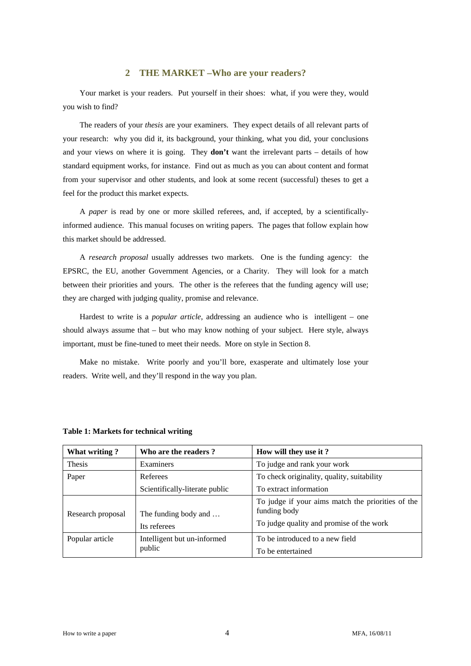# **2 THE MARKET –Who are your readers?**

 Your market is your readers. Put yourself in their shoes: what, if you were they, would you wish to find?

 The readers of your *thesis* are your examiners. They expect details of all relevant parts of your research: why you did it, its background, your thinking, what you did, your conclusions and your views on where it is going. They **don't** want the irrelevant parts – details of how standard equipment works, for instance. Find out as much as you can about content and format from your supervisor and other students, and look at some recent (successful) theses to get a feel for the product this market expects.

 A *paper* is read by one or more skilled referees, and, if accepted, by a scientificallyinformed audience. This manual focuses on writing papers. The pages that follow explain how this market should be addressed.

 A *research proposal* usually addresses two markets. One is the funding agency: the EPSRC, the EU, another Government Agencies, or a Charity. They will look for a match between their priorities and yours. The other is the referees that the funding agency will use; they are charged with judging quality, promise and relevance.

 Hardest to write is a *popular article*, addressing an audience who is intelligent – one should always assume that  $-$  but who may know nothing of your subject. Here style, always important, must be fine-tuned to meet their needs. More on style in Section 8.

 Make no mistake. Write poorly and you'll bore, exasperate and ultimately lose your readers. Write well, and they'll respond in the way you plan.

| What writing?     | Who are the readers?                  | How will they use it?                                                                                         |
|-------------------|---------------------------------------|---------------------------------------------------------------------------------------------------------------|
| <b>Thesis</b>     | Examiners                             | To judge and rank your work                                                                                   |
| Paper             | Referees                              | To check originality, quality, suitability                                                                    |
|                   | Scientifically-literate public        | To extract information                                                                                        |
| Research proposal | The funding body and<br>Its referees  | To judge if your aims match the priorities of the<br>funding body<br>To judge quality and promise of the work |
| Popular article   | Intelligent but un-informed<br>public | To be introduced to a new field<br>To be entertained                                                          |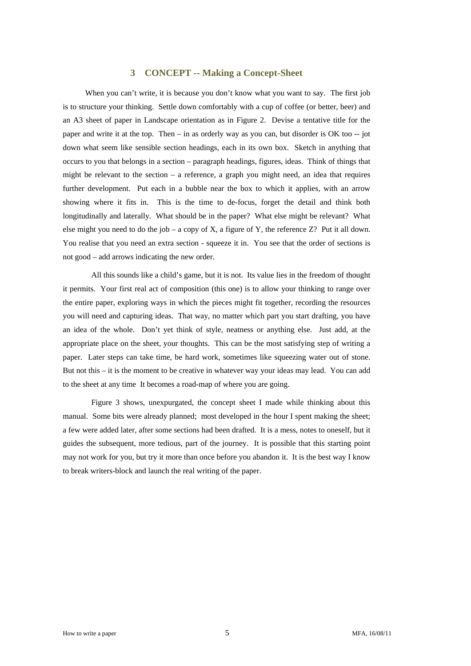# **3 CONCEPT -- Making a Concept-Sheet**

When you can't write, it is because you don't know what you want to say. The first job is to structure your thinking. Settle down comfortably with a cup of coffee (or better, beer) and an A3 sheet of paper in Landscape orientation as in Figure 2. Devise a tentative title for the paper and write it at the top. Then – in as orderly way as you can, but disorder is OK too -- jot down what seem like sensible section headings, each in its own box. Sketch in anything that occurs to you that belongs in a section – paragraph headings, figures, ideas. Think of things that might be relevant to the section  $-$  a reference, a graph you might need, an idea that requires further development. Put each in a bubble near the box to which it applies, with an arrow showing where it fits in. This is the time to de-focus, forget the detail and think both longitudinally and laterally. What should be in the paper? What else might be relevant? What else might you need to do the job – a copy of X, a figure of Y, the reference  $Z$ ? Put it all down. You realise that you need an extra section - squeeze it in. You see that the order of sections is not good – add arrows indicating the new order.

All this sounds like a child's game, but it is not. Its value lies in the freedom of thought it permits. Your first real act of composition (this one) is to allow your thinking to range over the entire paper, exploring ways in which the pieces might fit together, recording the resources you will need and capturing ideas. That way, no matter which part you start drafting, you have an idea of the whole. Don't yet think of style, neatness or anything else. Just add, at the appropriate place on the sheet, your thoughts. This can be the most satisfying step of writing a paper. Later steps can take time, be hard work, sometimes like squeezing water out of stone. But not this – it is the moment to be creative in whatever way your ideas may lead. You can add to the sheet at any time It becomes a road-map of where you are going.

Figure 3 shows, unexpurgated, the concept sheet I made while thinking about this manual. Some bits were already planned; most developed in the hour I spent making the sheet; a few were added later, after some sections had been drafted. It is a mess, notes to oneself, but it guides the subsequent, more tedious, part of the journey. It is possible that this starting point may not work for you, but try it more than once before you abandon it. It is the best way I know to break writers-block and launch the real writing of the paper.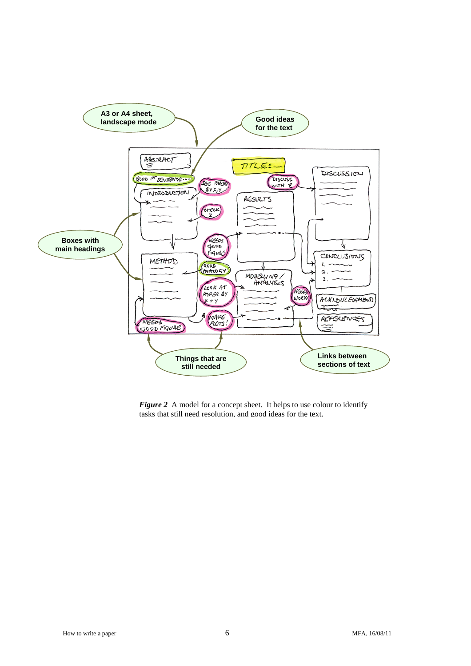

**Figure 2** A model for a concept sheet. It helps to use colour to identify tasks that still need resolution, and good ideas for the text.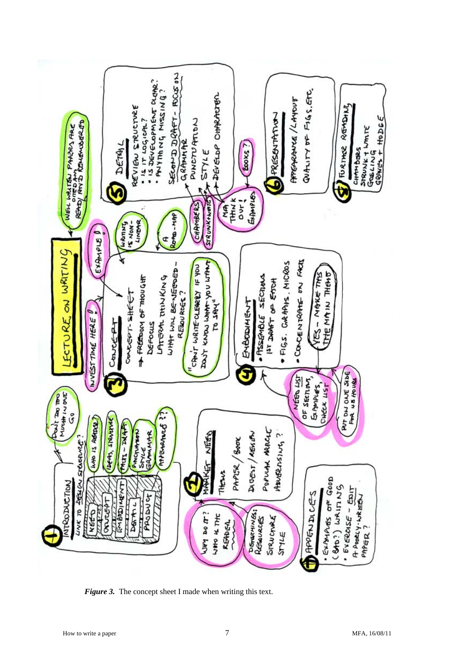

*Figure 3.* The concept sheet I made when writing this text.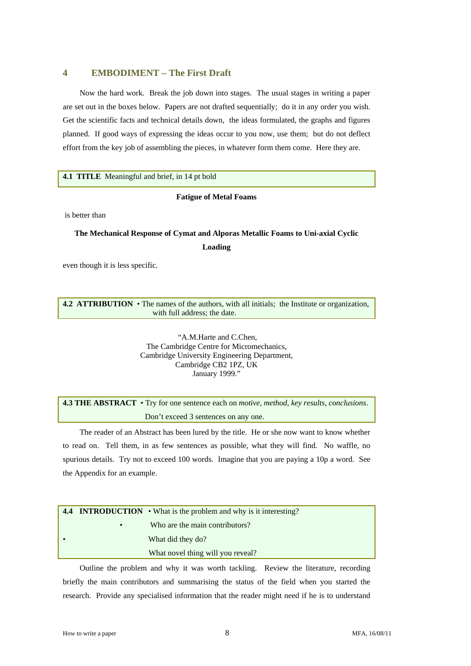# **4 EMBODIMENT – The First Draft**

 Now the hard work. Break the job down into stages. The usual stages in writing a paper are set out in the boxes below. Papers are not drafted sequentially; do it in any order you wish. Get the scientific facts and technical details down, the ideas formulated, the graphs and figures planned. If good ways of expressing the ideas occur to you now, use them; but do not deflect effort from the key job of assembling the pieces, in whatever form them come. Here they are.

#### **4.1 TITLE** Meaningful and brief, in 14 pt bold

#### **Fatigue of Metal Foams**

is better than

# **The Mechanical Response of Cymat and Alporas Metallic Foams to Uni-axial Cyclic Loading**

even though it is less specific.

#### **4.2 ATTRIBUTION** • The names of the authors, with all initials; the Institute or organization, with full address; the date.

 "A.M.Harte and C.Chen, The Cambridge Centre for Micromechanics, Cambridge University Engineering Department, Cambridge CB2 1PZ, UK January 1999."

**4.3 THE ABSTRACT** • Try for one sentence each on *motive*, *method*, *key results*, *conclusions*. Don't exceed 3 sentences on any one.

The reader of an Abstract has been lured by the title. He or she now want to know whether to read on. Tell them, in as few sentences as possible, what they will find. No waffle, no spurious details. Try not to exceed 100 words. Imagine that you are paying a 10p a word. See the Appendix for an example.

|           | <b>4.4 INTRODUCTION</b> $\bullet$ What is the problem and why is it interesting? |
|-----------|----------------------------------------------------------------------------------|
| $\bullet$ | Who are the main contributors?                                                   |
|           | What did they do?                                                                |
|           | What novel thing will you reveal?                                                |

 Outline the problem and why it was worth tackling. Review the literature, recording briefly the main contributors and summarising the status of the field when you started the research. Provide any specialised information that the reader might need if he is to understand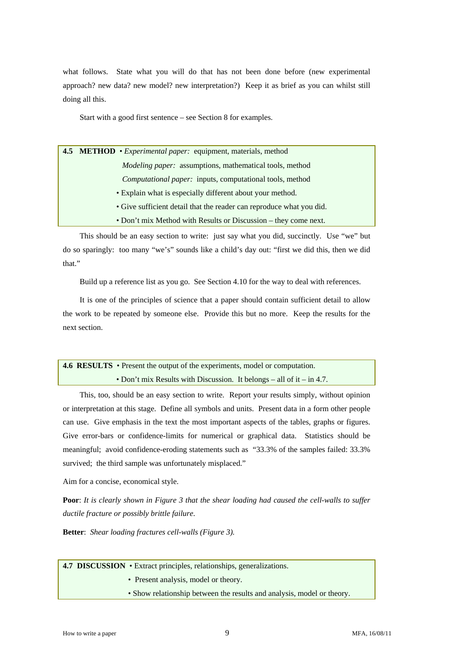what follows. State what you will do that has not been done before (new experimental approach? new data? new model? new interpretation?) Keep it as brief as you can whilst still doing all this.

Start with a good first sentence – see Section 8 for examples.

| 4.5 METHOD • <i>Experimental paper</i> : equipment, materials, method |  |
|-----------------------------------------------------------------------|--|
| Modeling paper: assumptions, mathematical tools, method               |  |
| <i>Computational paper:</i> inputs, computational tools, method       |  |
| • Explain what is especially different about your method.             |  |
| • Give sufficient detail that the reader can reproduce what you did.  |  |
| • Don't mix Method with Results or Discussion – they come next.       |  |

 This should be an easy section to write: just say what you did, succinctly. Use "we" but do so sparingly: too many "we's" sounds like a child's day out: "first we did this, then we did that"

Build up a reference list as you go. See Section 4.10 for the way to deal with references.

 It is one of the principles of science that a paper should contain sufficient detail to allow the work to be repeated by someone else. Provide this but no more. Keep the results for the next section.

# **4.6 RESULTS** • Present the output of the experiments, model or computation. • Don't mix Results with Discussion. It belongs – all of it – in 4.7.

 This, too, should be an easy section to write. Report your results simply, without opinion or interpretation at this stage. Define all symbols and units. Present data in a form other people can use. Give emphasis in the text the most important aspects of the tables, graphs or figures. Give error-bars or confidence-limits for numerical or graphical data. Statistics should be meaningful; avoid confidence-eroding statements such as "33.3% of the samples failed: 33.3% survived; the third sample was unfortunately misplaced."

Aim for a concise, economical style.

**Poor**: *It is clearly shown in Figure 3 that the shear loading had caused the cell-walls to suffer ductile fracture or possibly brittle failure*.

**Better**: *Shear loading fractures cell-walls (Figure 3).* 

**4.7 DISCUSSION** • Extract principles, relationships, generalizations.

- Present analysis, model or theory.
- Show relationship between the results and analysis, model or theory.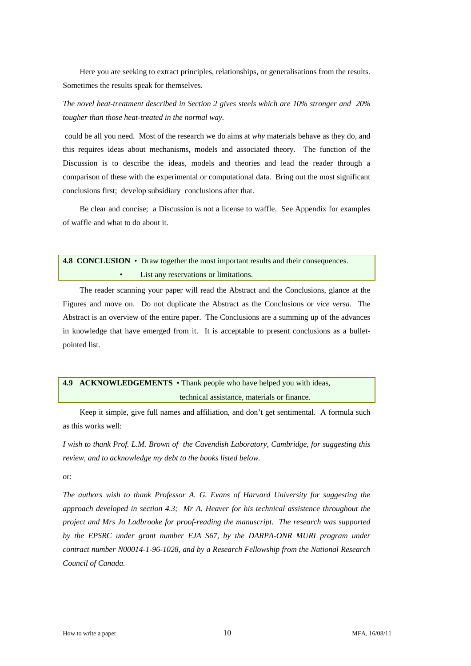Here you are seeking to extract principles, relationships, or generalisations from the results. Sometimes the results speak for themselves.

*The novel heat-treatment described in Section 2 gives steels which are 10% stronger and 20% tougher than those heat-treated in the normal way.* 

 could be all you need. Most of the research we do aims at *why* materials behave as they do, and this requires ideas about mechanisms, models and associated theory. The function of the Discussion is to describe the ideas, models and theories and lead the reader through a comparison of these with the experimental or computational data. Bring out the most significant conclusions first; develop subsidiary conclusions after that.

 Be clear and concise; a Discussion is not a license to waffle. See Appendix for examples of waffle and what to do about it.

| 4.8 CONCLUSION • Draw together the most important results and their consequences. |
|-----------------------------------------------------------------------------------|
| List any reservations or limitations.                                             |

 The reader scanning your paper will read the Abstract and the Conclusions, glance at the Figures and move on. Do not duplicate the Abstract as the Conclusions or *vice versa*. The Abstract is an overview of the entire paper. The Conclusions are a summing up of the advances in knowledge that have emerged from it. It is acceptable to present conclusions as a bulletpointed list.

# **4.9 ACKNOWLEDGEMENTS** • Thank people who have helped you with ideas, technical assistance, materials or finance.

 Keep it simple, give full names and affiliation, and don't get sentimental. A formula such as this works well:

*I wish to thank Prof. L.M. Brown of the Cavendish Laboratory, Cambridge, for suggesting this review, and to acknowledge my debt to the books listed below.* 

or:

*The authors wish to thank Professor A. G. Evans of Harvard University for suggesting the approach developed in section 4.3; Mr A. Heaver for his technical assistence throughout the project and Mrs Jo Ladbrooke for proof-reading the manuscript. The research was supported*  by the EPSRC under grant number EJA S67, by the DARPA-ONR MURI program under *contract number N00014-1-96-1028, and by a Research Fellowship from the National Research Council of Canada.*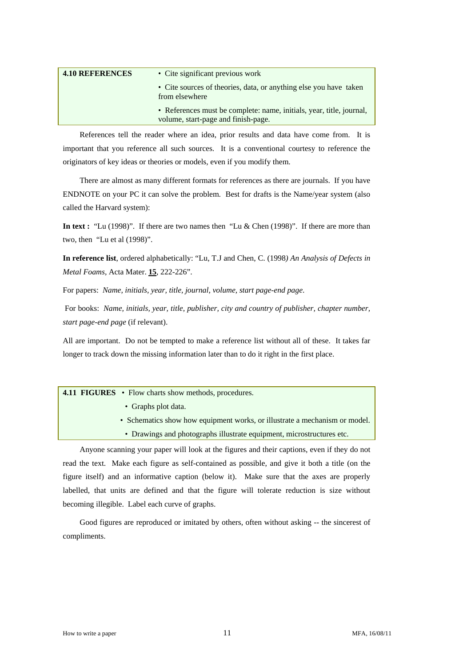| <b>4.10 REFERENCES</b> | • Cite significant previous work                                                                            |  |
|------------------------|-------------------------------------------------------------------------------------------------------------|--|
|                        | • Cite sources of theories, data, or anything else you have taken<br>from elsewhere                         |  |
|                        | • References must be complete: name, initials, year, title, journal,<br>volume, start-page and finish-page. |  |

 References tell the reader where an idea, prior results and data have come from. It is important that you reference all such sources. It is a conventional courtesy to reference the originators of key ideas or theories or models, even if you modify them.

 There are almost as many different formats for references as there are journals. If you have ENDNOTE on your PC it can solve the problem. Best for drafts is the Name/year system (also called the Harvard system):

**In text :** "Lu (1998)". If there are two names then "Lu & Chen (1998)". If there are more than two, then "Lu et al (1998)".

**In reference list**, ordered alphabetically: "Lu, T.J and Chen, C. (1998*) An Analysis of Defects in Metal Foams*, Acta Mater. **15**, 222-226".

For papers: *Name, initials, year, title, journal, volume, start page-end page*.

 For books: *Name, initials, year, title, publisher, city and country of publisher, chapter number, start page-end page* (if relevant).

All are important. Do not be tempted to make a reference list without all of these. It takes far longer to track down the missing information later than to do it right in the first place.

**4.11 FIGURES** • Flow charts show methods, procedures.

- Graphs plot data.
- Schematics show how equipment works, or illustrate a mechanism or model.
- Drawings and photographs illustrate equipment, microstructures etc.

 Anyone scanning your paper will look at the figures and their captions, even if they do not read the text. Make each figure as self-contained as possible, and give it both a title (on the figure itself) and an informative caption (below it). Make sure that the axes are properly labelled, that units are defined and that the figure will tolerate reduction is size without becoming illegible. Label each curve of graphs.

 Good figures are reproduced or imitated by others, often without asking -- the sincerest of compliments.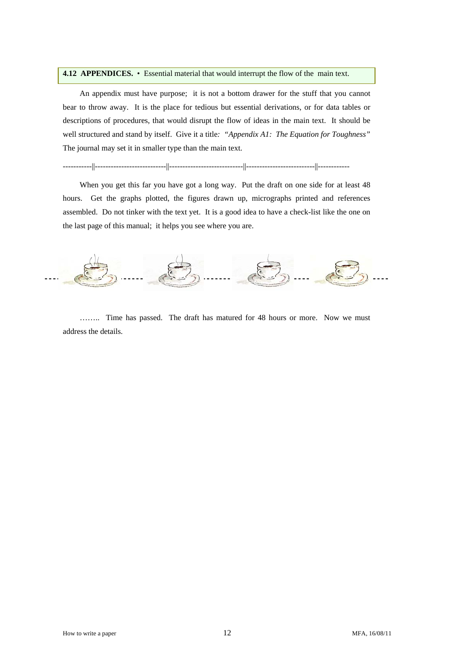#### **4.12 APPENDICES.** • Essential material that would interrupt the flow of the main text.

 An appendix must have purpose; it is not a bottom drawer for the stuff that you cannot bear to throw away. It is the place for tedious but essential derivations, or for data tables or descriptions of procedures, that would disrupt the flow of ideas in the main text. It should be well structured and stand by itself. Give it a title*: "Appendix A1: The Equation for Toughness"*  The journal may set it in smaller type than the main text.

-----------||---------------------------||----------------------------||--------------------------||------------

 When you get this far you have got a long way. Put the draft on one side for at least 48 hours. Get the graphs plotted, the figures drawn up, micrographs printed and references assembled. Do not tinker with the text yet. It is a good idea to have a check-list like the one on the last page of this manual; it helps you see where you are.



 …….. Time has passed. The draft has matured for 48 hours or more. Now we must address the details.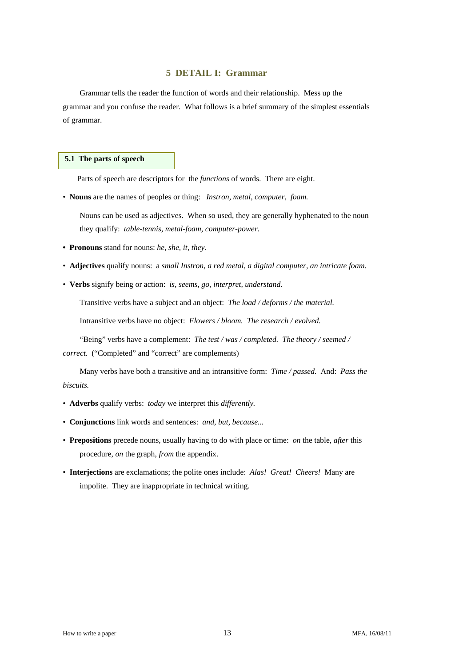# **5 DETAIL I: Grammar**

 Grammar tells the reader the function of words and their relationship. Mess up the grammar and you confuse the reader. What follows is a brief summary of the simplest essentials of grammar.

# **5.1 The parts of speech**

Parts of speech are descriptors for the *functions* of words. There are eight.

• **Nouns** are the names of peoples or thing: *Instron, metal, computer, foam.* 

 Nouns can be used as adjectives. When so used, they are generally hyphenated to the noun they qualify: *table-tennis, metal-foam, computer-power*.

- **Pronouns** stand for nouns: *he, she, it, they.*
- **Adjectives** qualify nouns: a *small Instron, a red metal, a digital computer, an intricate foam.*
- **Verbs** signify being or action: *is, seems, go, interpret, understand.*

Transitive verbs have a subject and an object: *The load / deforms / the material.* 

Intransitive verbs have no object: *Flowers / bloom. The research / evolved.* 

"Being" verbs have a complement: *The test / was / completed. The theory / seemed / correct*. ("Completed" and "correct" are complements)

Many verbs have both a transitive and an intransitive form: *Time / passed.* And: *Pass the biscuits.* 

- **Adverbs** qualify verbs: *today* we interpret this *differently.*
- **Conjunctions** link words and sentences: *and, but, because...*
- **Prepositions** precede nouns, usually having to do with place or time: *on* the table, *after* this procedure, *on* the graph, *from* the appendix.
- **Interjections** are exclamations; the polite ones include: *Alas! Great! Cheers!* Many are impolite. They are inappropriate in technical writing.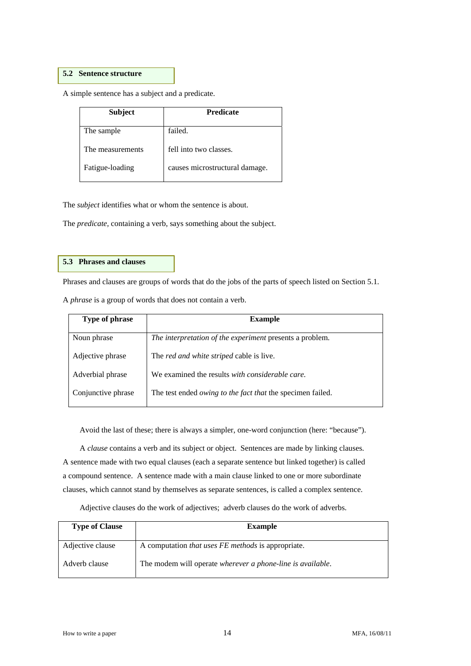# **5.2 Sentence structure**

A simple sentence has a subject and a predicate.

| <b>Subject</b>   | <b>Predicate</b>               |
|------------------|--------------------------------|
| The sample       | failed.                        |
| The measurements | fell into two classes.         |
| Fatigue-loading  | causes microstructural damage. |

The *subject* identifies what or whom the sentence is about.

The *predicate,* containing a verb, says something about the subject.

# **5.3 Phrases and clauses**

Phrases and clauses are groups of words that do the jobs of the parts of speech listed on Section 5.1.

A *phrase* is a group of words that does not contain a verb.

| Type of phrase     | <b>Example</b>                                             |
|--------------------|------------------------------------------------------------|
| Noun phrase        | The interpretation of the experiment presents a problem.   |
|                    |                                                            |
| Adjective phrase   | The <i>red and white striped</i> cable is live.            |
|                    |                                                            |
| Adverbial phrase   | We examined the results with considerable care.            |
| Conjunctive phrase | The test ended owing to the fact that the specimen failed. |
|                    |                                                            |

Avoid the last of these; there is always a simpler, one-word conjunction (here: "because").

 A *clause* contains a verb and its subject or object. Sentences are made by linking clauses. A sentence made with two equal clauses (each a separate sentence but linked together) is called a compound sentence. A sentence made with a main clause linked to one or more subordinate clauses, which cannot stand by themselves as separate sentences, is called a complex sentence.

Adjective clauses do the work of adjectives; adverb clauses do the work of adverbs.

| <b>Type of Clause</b> | <b>Example</b>                                             |
|-----------------------|------------------------------------------------------------|
| Adjective clause      | A computation <i>that uses FE methods</i> is appropriate.  |
| Adverb clause         | The modem will operate wherever a phone-line is available. |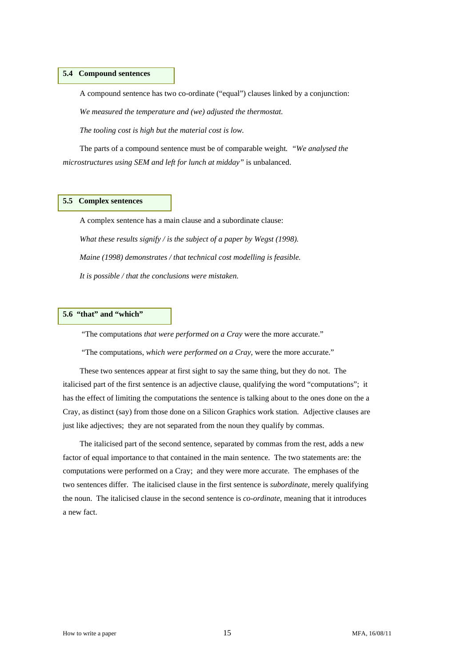#### **5.4 Compound sentences**

A compound sentence has two co-ordinate ("equal") clauses linked by a conjunction:

 *We measured the temperature and (we) adjusted the thermostat.* 

 *The tooling cost is high but the material cost is low.* 

 The parts of a compound sentence must be of comparable weight*. "We analysed the microstructures using SEM and left for lunch at midday"* is unbalanced.

# **5.5 Complex sentences**

 A complex sentence has a main clause and a subordinate clause: *What these results signify / is the subject of a paper by Wegst (1998). Maine (1998) demonstrates / that technical cost modelling is feasible. It is possible / that the conclusions were mistaken.* 

# **5.6 "that" and "which"**

"The computations *that were performed on a Cray* were the more accurate."

"The computations, *which were performed on a Cray*, were the more accurate."

 These two sentences appear at first sight to say the same thing, but they do not. The italicised part of the first sentence is an adjective clause, qualifying the word "computations"; it has the effect of limiting the computations the sentence is talking about to the ones done on the a Cray, as distinct (say) from those done on a Silicon Graphics work station. Adjective clauses are just like adjectives; they are not separated from the noun they qualify by commas.

 The italicised part of the second sentence, separated by commas from the rest, adds a new factor of equal importance to that contained in the main sentence. The two statements are: the computations were performed on a Cray; and they were more accurate. The emphases of the two sentences differ. The italicised clause in the first sentence is *subordinate*, merely qualifying the noun. The italicised clause in the second sentence is *co-ordinate*, meaning that it introduces a new fact.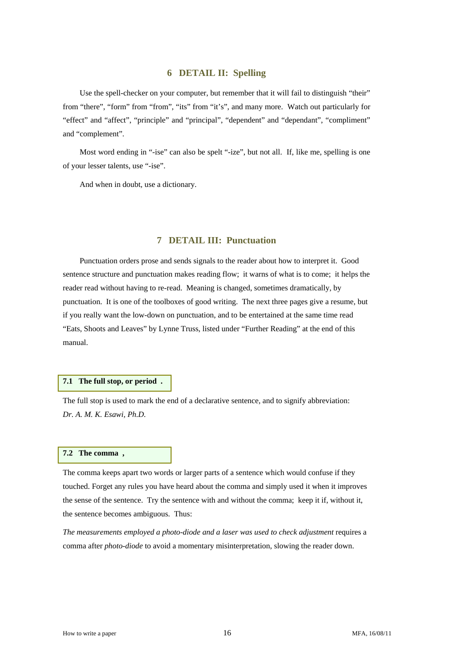# **6 DETAIL II: Spelling**

Use the spell-checker on your computer, but remember that it will fail to distinguish "their" from "there", "form" from "from", "its" from "it's", and many more. Watch out particularly for "effect" and "affect", "principle" and "principal", "dependent" and "dependant", "compliment" and "complement".

 Most word ending in "-ise" can also be spelt "-ize", but not all. If, like me, spelling is one of your lesser talents, use "-ise".

And when in doubt, use a dictionary.

# **7 DETAIL III: Punctuation**

 Punctuation orders prose and sends signals to the reader about how to interpret it. Good sentence structure and punctuation makes reading flow; it warns of what is to come; it helps the reader read without having to re-read. Meaning is changed, sometimes dramatically, by punctuation. It is one of the toolboxes of good writing. The next three pages give a resume, but if you really want the low-down on punctuation, and to be entertained at the same time read "Eats, Shoots and Leaves" by Lynne Truss, listed under "Further Reading" at the end of this manual.

#### **7.1 The full stop, or period .**

The full stop is used to mark the end of a declarative sentence, and to signify abbreviation: *Dr. A. M. K. Esawi, Ph.D.*

#### **7.2 The comma ,**

The comma keeps apart two words or larger parts of a sentence which would confuse if they touched. Forget any rules you have heard about the comma and simply used it when it improves the sense of the sentence. Try the sentence with and without the comma; keep it if, without it, the sentence becomes ambiguous. Thus:

*The measurements employed a photo-diode and a laser was used to check adjustment* requires a comma after *photo-diode* to avoid a momentary misinterpretation, slowing the reader down.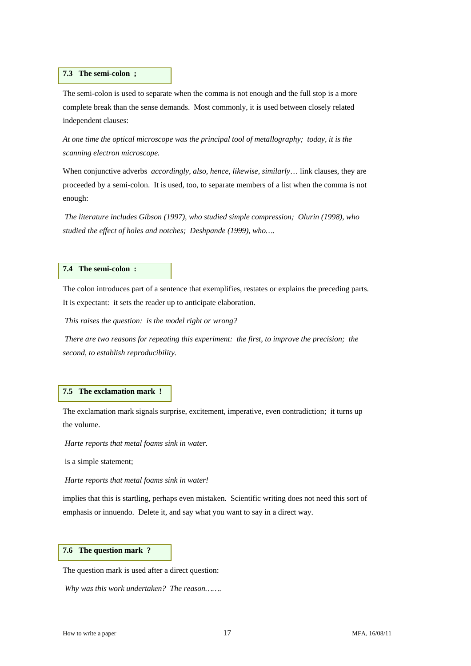#### **7.3 The semi-colon ;**

The semi-colon is used to separate when the comma is not enough and the full stop is a more complete break than the sense demands. Most commonly, it is used between closely related independent clauses:

*At one time the optical microscope was the principal tool of metallography; today, it is the scanning electron microscope.* 

When conjunctive adverbs *accordingly, also, hence, likewise, similarly*… link clauses, they are proceeded by a semi-colon. It is used, too, to separate members of a list when the comma is not enough:

*The literature includes Gibson (1997), who studied simple compression; Olurin (1998), who studied the effect of holes and notches; Deshpande (1999), who….* 

# **7.4 The semi-colon :**

The colon introduces part of a sentence that exemplifies, restates or explains the preceding parts. It is expectant: it sets the reader up to anticipate elaboration.

 *This raises the question: is the model right or wrong?* 

 *There are two reasons for repeating this experiment: the first, to improve the precision; the second, to establish reproducibility.* 

# **7.5 The exclamation mark !**

The exclamation mark signals surprise, excitement, imperative, even contradiction; it turns up the volume.

*Harte reports that metal foams sink in water.* 

is a simple statement;

 *Harte reports that metal foams sink in water!* 

implies that this is startling, perhaps even mistaken. Scientific writing does not need this sort of emphasis or innuendo. Delete it, and say what you want to say in a direct way.

# **7.6 The question mark ?**

The question mark is used after a direct question:

 *Why was this work undertaken? The reason…….*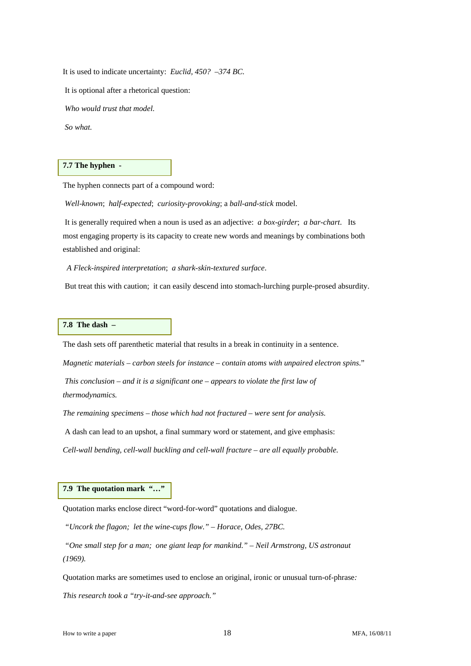It is used to indicate uncertainty: *Euclid, 450? –374 BC.* 

It is optional after a rhetorical question:

 *Who would trust that model.* 

 *So what.* 

#### **7.7 The hyphen -**

The hyphen connects part of a compound word:

*Well-known*; *half-expected*; *curiosity-provoking*; a *ball-and-stick* model.

 It is generally required when a noun is used as an adjective: *a box-girder*; *a bar-chart*. Its most engaging property is its capacity to create new words and meanings by combinations both established and original:

 *A Fleck-inspired interpretation*; *a shark-skin-textured surface*.

But treat this with caution; it can easily descend into stomach-lurching purple-prosed absurdity.

# **7.8 The dash –**

The dash sets off parenthetic material that results in a break in continuity in a sentence.

*Magnetic materials – carbon steels for instance – contain atoms with unpaired electron spins*."

*This conclusion – and it is a significant one – appears to violate the first law of thermodynamics.*

*The remaining specimens – those which had not fractured – were sent for analysis.* 

A dash can lead to an upshot, a final summary word or statement, and give emphasis:

*Cell-wall bending, cell-wall buckling and cell-wall fracture – are all equally probable.* 

# **7.9 The quotation mark "…"**

Quotation marks enclose direct "word-for-word" quotations and dialogue.

 *"Uncork the flagon; let the wine-cups flow." – Horace, Odes, 27BC.* 

 *"One small step for a man; one giant leap for mankind." – Neil Armstrong, US astronaut (1969).* 

Quotation marks are sometimes used to enclose an original, ironic or unusual turn-of-phrase*:* 

*This research took a "try-it-and-see approach."*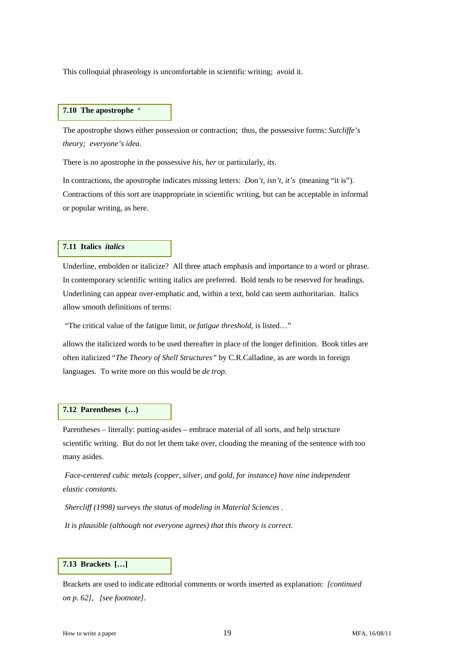This colloquial phraseology is uncomfortable in scientific writing; avoid it.

# **7.10 The apostrophe '**

The apostrophe shows either possession or contraction; thus, the possessive forms: *Sutcliffe's theory; everyone's idea.*

There is no apostrophe in the possessive *his, her* or particularly, *its*.

In contractions, the apostrophe indicates missing letters: *Don't, isn't, it's* (meaning "it is"). Contractions of this sort are inappropriate in scientific writing, but can be acceptable in informal or popular writing, as here.

#### **7.11 Italics** *italics*

Underline, embolden or italicize? All three attach emphasis and importance to a word or phrase. In contemporary scientific writing italics are preferred. Bold tends to be reserved for headings. Underlining can appear over-emphatic and, within a text, bold can seem authoritarian. Italics allow smooth definitions of terms:

"The critical value of the fatigue limit, or *fatigue threshold,* is listed…"

allows the italicized words to be used thereafter in place of the longer definition. Book titles are often italicized "*The Theory of Shell Structures"* by C.R.Calladine, as are words in foreign languages. To write more on this would be *de trop.* 

#### **7.12 Parentheses (…)**

Parentheses – literally: putting-asides – embrace material of all sorts, and help structure scientific writing. But do not let them take over, clouding the meaning of the sentence with too many asides.

 *Face-centered cubic metals (copper, silver, and gold, for instance) have nine independent elastic constants.* 

 *Shercliff (1998) surveys the status of modeling in Material Sciences .* 

 *It is plausible (although not everyone agrees) that this theory is correct.* 

# **7.13 Brackets […]**

Brackets are used to indicate editorial comments or words inserted as explanation: *[continued on p. 62], [see footnote].*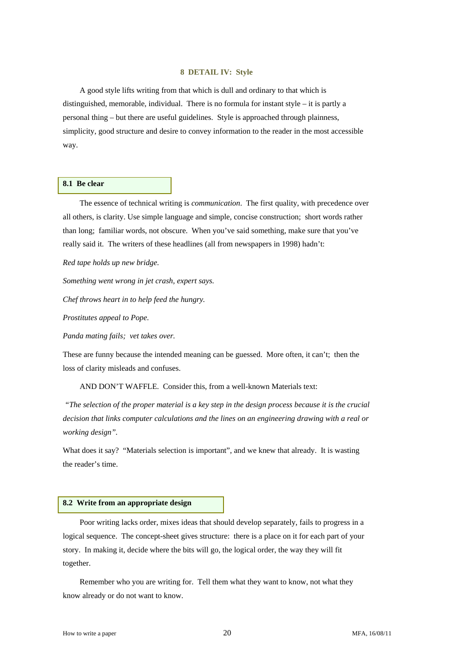#### **8 DETAIL IV: Style**

 A good style lifts writing from that which is dull and ordinary to that which is distinguished, memorable, individual. There is no formula for instant style – it is partly a personal thing – but there are useful guidelines. Style is approached through plainness, simplicity, good structure and desire to convey information to the reader in the most accessible way.

# **8.1 Be clear**

 The essence of technical writing is *communication*. The first quality, with precedence over all others, is clarity. Use simple language and simple, concise construction; short words rather than long; familiar words, not obscure. When you've said something, make sure that you've really said it. The writers of these headlines (all from newspapers in 1998) hadn't:

*Red tape holds up new bridge.* 

*Something went wrong in jet crash, expert says.* 

*Chef throws heart in to help feed the hungry.* 

*Prostitutes appeal to Pope.* 

*Panda mating fails; vet takes over.* 

These are funny because the intended meaning can be guessed. More often, it can't; then the loss of clarity misleads and confuses.

AND DON'T WAFFLE. Consider this, from a well-known Materials text:

 *"The selection of the proper material is a key step in the design process because it is the crucial decision that links computer calculations and the lines on an engineering drawing with a real or working design".* 

What does it say? "Materials selection is important", and we knew that already. It is wasting the reader's time.

#### **8.2 Write from an appropriate design**

 Poor writing lacks order, mixes ideas that should develop separately, fails to progress in a logical sequence. The concept-sheet gives structure: there is a place on it for each part of your story. In making it, decide where the bits will go, the logical order, the way they will fit together.

 Remember who you are writing for. Tell them what they want to know, not what they know already or do not want to know.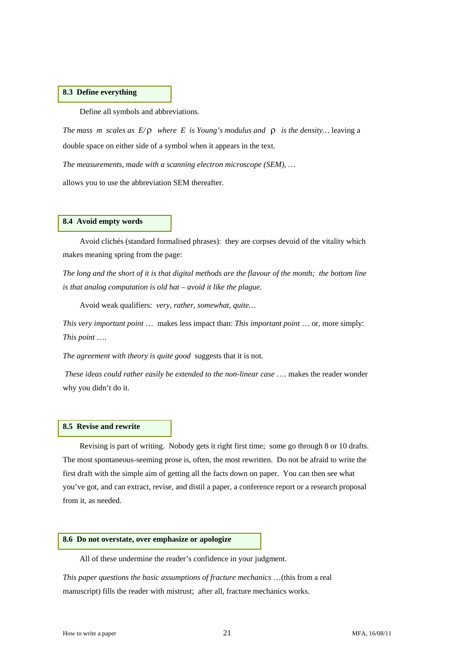## **8.3 Define everything**

Define all symbols and abbreviations.

*The mass m scales as E/*ρ *where E is Young's modulus and* ρ *is the density…* leaving a double space on either side of a symbol when it appears in the text.

*The measurements, made with a scanning electron microscope (SEM), …*

allows you to use the abbreviation SEM thereafter.

#### **8.4 Avoid empty words**

 Avoid clichés (standard formalised phrases): they are corpses devoid of the vitality which makes meaning spring from the page:

*The long and the short of it is that digital methods are the flavour of the month; the bottom line is that analog computation is old hat – avoid it like the plague.* 

Avoid weak qualifiers: *very, rather, somewhat, quite…*

*This very important point* … makes less impact than: *This important point* … or, more simply: *This point* ….

*The agreement with theory is quite good* suggests that it is not.

*These ideas could rather easily be extended to the non-linear case* …. makes the reader wonder why you didn't do it.

#### **8.5 Revise and rewrite**

Revising is part of writing. Nobody gets it right first time; some go through 8 or 10 drafts. The most spontaneous-seeming prose is, often, the most rewritten. Do not be afraid to write the first draft with the simple aim of getting all the facts down on paper. You can then see what you've got, and can extract, revise, and distil a paper, a conference report or a research proposal from it, as needed.

#### **8.6 Do not overstate, over emphasize or apologize**

All of these undermine the reader's confidence in your judgment.

*This paper questions the basic assumptions of fracture mechanics* …(this from a real manuscript) fills the reader with mistrust; after all, fracture mechanics works.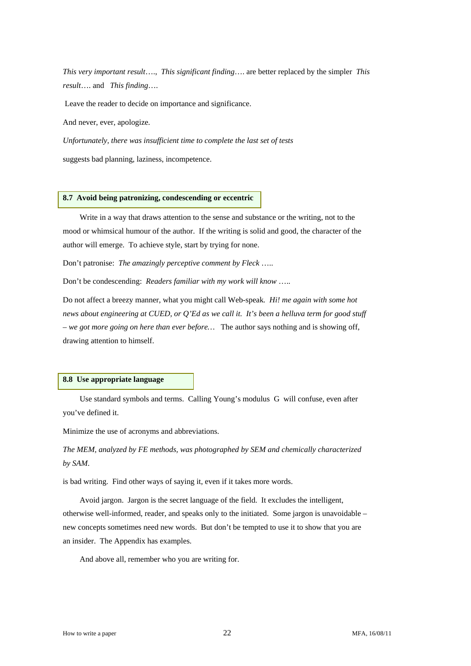*This very important result*…., *This significant finding*…. are better replaced by the simpler *This result*…. and *This finding*….

Leave the reader to decide on importance and significance.

And never, ever, apologize*.* 

*Unfortunately, there was insufficient time to complete the last set of tests* 

suggests bad planning, laziness, incompetence.

#### **8.7 Avoid being patronizing, condescending or eccentric**

 Write in a way that draws attention to the sense and substance or the writing, not to the mood or whimsical humour of the author. If the writing is solid and good, the character of the author will emerge. To achieve style, start by trying for none.

Don't patronise: *The amazingly perceptive comment by Fleck* …..

Don't be condescending: *Readers familiar with my work will know* …..

Do not affect a breezy manner, what you might call Web-speak*. Hi! me again with some hot news about engineering at CUED, or Q'Ed as we call it. It's been a helluva term for good stuff – we got more going on here than ever before…* The author says nothing and is showing off, drawing attention to himself.

#### **8.8 Use appropriate language**

 Use standard symbols and terms. Calling Young's modulus G will confuse, even after you've defined it.

Minimize the use of acronyms and abbreviations.

*The MEM, analyzed by FE methods, was photographed by SEM and chemically characterized by SAM*.

is bad writing. Find other ways of saying it, even if it takes more words.

 Avoid jargon. Jargon is the secret language of the field. It excludes the intelligent, otherwise well-informed, reader, and speaks only to the initiated. Some jargon is unavoidable – new concepts sometimes need new words. But don't be tempted to use it to show that you are an insider. The Appendix has examples.

And above all, remember who you are writing for.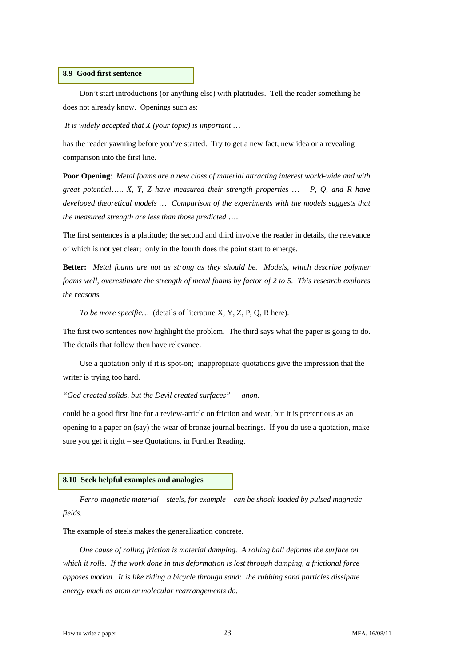# **8.9 Good first sentence**

 Don't start introductions (or anything else) with platitudes. Tell the reader something he does not already know. Openings such as:

*It is widely accepted that X (your topic) is important* …

has the reader yawning before you've started. Try to get a new fact, new idea or a revealing comparison into the first line.

**Poor Opening**: *Metal foams are a new class of material attracting interest world-wide and with great potential*….. *X, Y, Z have measured their strength properties … P, Q, and R have*  developed theoretical models ... Comparison of the experiments with the models suggests that *the measured strength are less than those predicted* …..

The first sentences is a platitude; the second and third involve the reader in details, the relevance of which is not yet clear; only in the fourth does the point start to emerge.

**Better:** *Metal foams are not as strong as they should be. Models, which describe polymer foams well, overestimate the strength of metal foams by factor of 2 to 5. This research explores the reasons.* 

 *To be more specific…* (details of literature X, Y, Z, P, Q, R here).

The first two sentences now highlight the problem. The third says what the paper is going to do. The details that follow then have relevance.

 Use a quotation only if it is spot-on; inappropriate quotations give the impression that the writer is trying too hard.

*"God created solids, but the Devil created surfaces" -- anon.* 

could be a good first line for a review-article on friction and wear, but it is pretentious as an opening to a paper on (say) the wear of bronze journal bearings. If you do use a quotation, make sure you get it right – see Quotations, in Further Reading.

#### **8.10 Seek helpful examples and analogies**

*Ferro-magnetic material – steels, for example – can be shock-loaded by pulsed magnetic fields.*

The example of steels makes the generalization concrete.

 *One cause of rolling friction is material damping. A rolling ball deforms the surface on which it rolls. If the work done in this deformation is lost through damping, a frictional force opposes motion. It is like riding a bicycle through sand: the rubbing sand particles dissipate energy much as atom or molecular rearrangements do.*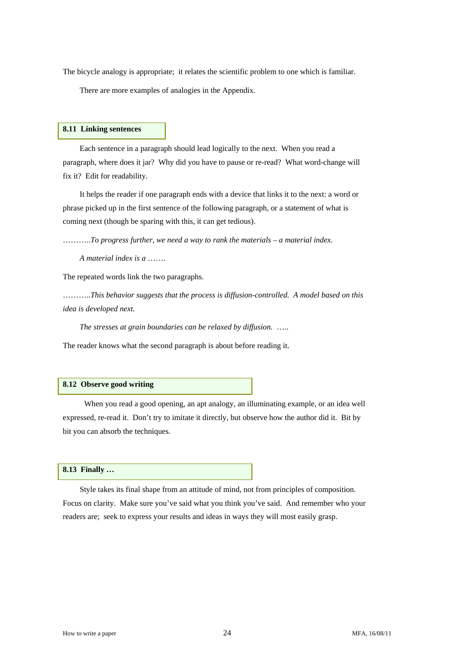The bicycle analogy is appropriate; it relates the scientific problem to one which is familiar.

There are more examples of analogies in the Appendix.

# **8.11 Linking sentences**

 Each sentence in a paragraph should lead logically to the next. When you read a paragraph, where does it jar? Why did you have to pause or re-read? What word-change will fix it? Edit for readability.

 It helps the reader if one paragraph ends with a device that links it to the next: a word or phrase picked up in the first sentence of the following paragraph, or a statement of what is coming next (though be sparing with this, it can get tedious).

………..*To progress further, we need a way to rank the materials – a material index.* 

 *A material index is a* …….

The repeated words link the two paragraphs.

………..*This behavior suggests that the process is diffusion-controlled. A model based on this idea is developed next.* 

 *The stresses at grain boundaries can be relaxed by diffusion.* …..

The reader knows what the second paragraph is about before reading it.

#### **8.12 Observe good writing**

When you read a good opening, an apt analogy, an illuminating example, or an idea well expressed, re-read it. Don't try to imitate it directly, but observe how the author did it. Bit by bit you can absorb the techniques.

#### **8.13 Finally …**

 Style takes its final shape from an attitude of mind, not from principles of composition. Focus on clarity. Make sure you've said what you think you've said. And remember who your readers are; seek to express your results and ideas in ways they will most easily grasp.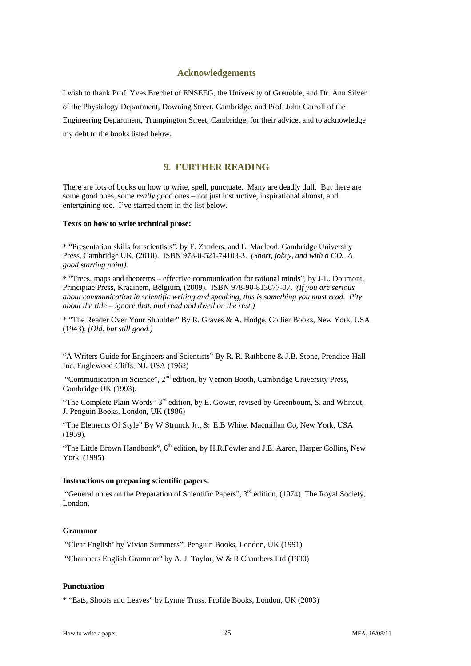# **Acknowledgements**

I wish to thank Prof. Yves Brechet of ENSEEG, the University of Grenoble, and Dr. Ann Silver of the Physiology Department, Downing Street, Cambridge, and Prof. John Carroll of the Engineering Department, Trumpington Street, Cambridge, for their advice, and to acknowledge my debt to the books listed below.

# **9. FURTHER READING**

There are lots of books on how to write, spell, punctuate. Many are deadly dull. But there are some good ones, some *really* good ones – not just instructive, inspirational almost, and entertaining too. I've starred them in the list below.

#### **Texts on how to write technical prose:**

\* "Presentation skills for scientists", by E. Zanders, and L. Macleod, Cambridge University Press, Cambridge UK, (2010). ISBN 978-0-521-74103-3. *(Short, jokey, and with a CD. A good starting point).* 

\* "Trees, maps and theorems – effective communication for rational minds", by J-L. Doumont, Principiae Press, Kraainem, Belgium, (2009). ISBN 978-90-813677-07. *(If you are serious about communication in scientific writing and speaking, this is something you must read. Pity about the title – ignore that, and read and dwell on the rest.)* 

\* "The Reader Over Your Shoulder" By R. Graves & A. Hodge, Collier Books, New York, USA (1943). *(Old, but still good.)*

"A Writers Guide for Engineers and Scientists" By R. R. Rathbone & J.B. Stone, Prendice-Hall Inc, Englewood Cliffs, NJ, USA (1962)

 "Communication in Science", 2nd edition, by Vernon Booth, Cambridge University Press, Cambridge UK (1993).

"The Complete Plain Words" 3<sup>rd</sup> edition, by E. Gower, revised by Greenboum, S. and Whitcut, J. Penguin Books, London, UK (1986)

"The Elements Of Style" By W.Strunck Jr., & E.B White, Macmillan Co, New York, USA (1959).

"The Little Brown Handbook", 6<sup>th</sup> edition, by H.R.Fowler and J.E. Aaron, Harper Collins, New York, (1995)

#### **Instructions on preparing scientific papers:**

"General notes on the Preparation of Scientific Papers",  $3<sup>rd</sup>$  edition, (1974), The Royal Society, London.

#### **Grammar**

"Clear English' by Vivian Summers", Penguin Books, London, UK (1991)

"Chambers English Grammar" by A. J. Taylor, W & R Chambers Ltd (1990)

#### **Punctuation**

\* "Eats, Shoots and Leaves" by Lynne Truss, Profile Books, London, UK (2003)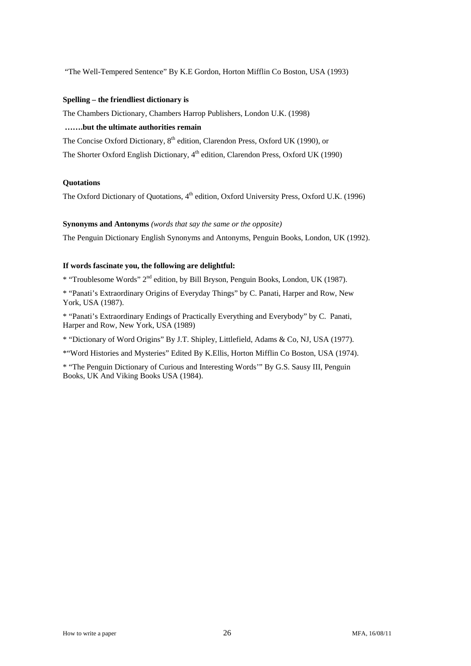"The Well-Tempered Sentence" By K.E Gordon, Horton Mifflin Co Boston, USA (1993)

# **Spelling – the friendliest dictionary is**

The Chambers Dictionary, Chambers Harrop Publishers, London U.K. (1998)

# **…….but the ultimate authorities remain**

The Concise Oxford Dictionary, 8<sup>th</sup> edition, Clarendon Press, Oxford UK (1990), or

The Shorter Oxford English Dictionary, 4<sup>th</sup> edition, Clarendon Press, Oxford UK (1990)

### **Quotations**

The Oxford Dictionary of Quotations, 4<sup>th</sup> edition, Oxford University Press, Oxford U.K. (1996)

#### **Synonyms and Antonyms** *(words that say the same or the opposite)*

The Penguin Dictionary English Synonyms and Antonyms, Penguin Books, London, UK (1992).

# **If words fascinate you, the following are delightful:**

\* "Troublesome Words" 2nd edition, by Bill Bryson, Penguin Books, London, UK (1987).

\* "Panati's Extraordinary Origins of Everyday Things" by C. Panati, Harper and Row, New York, USA (1987).

\* "Panati's Extraordinary Endings of Practically Everything and Everybody" by C. Panati, Harper and Row, New York, USA (1989)

\* "Dictionary of Word Origins" By J.T. Shipley, Littlefield, Adams & Co, NJ, USA (1977).

\*"Word Histories and Mysteries" Edited By K.Ellis, Horton Mifflin Co Boston, USA (1974).

\* "The Penguin Dictionary of Curious and Interesting Words'" By G.S. Sausy III, Penguin Books, UK And Viking Books USA (1984).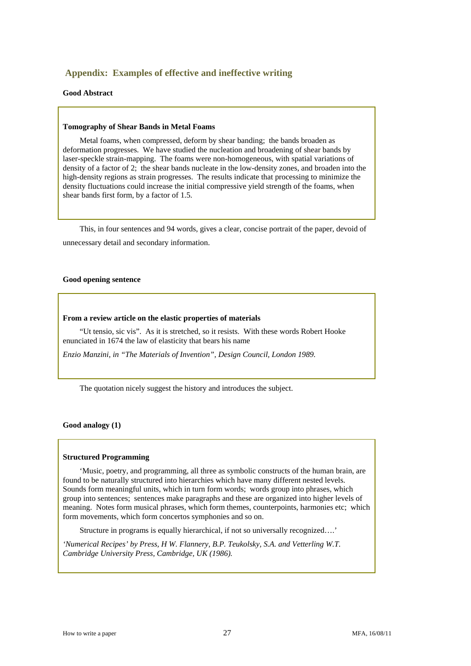# **Appendix: Examples of effective and ineffective writing**

#### **Good Abstract**

#### **Tomography of Shear Bands in Metal Foams**

 Metal foams, when compressed, deform by shear banding; the bands broaden as deformation progresses. We have studied the nucleation and broadening of shear bands by laser-speckle strain-mapping. The foams were non-homogeneous, with spatial variations of density of a factor of 2; the shear bands nucleate in the low-density zones, and broaden into the high-density regions as strain progresses. The results indicate that processing to minimize the density fluctuations could increase the initial compressive yield strength of the foams, when shear bands first form, by a factor of 1.5.

 This, in four sentences and 94 words, gives a clear, concise portrait of the paper, devoid of unnecessary detail and secondary information.

#### **Good opening sentence**

#### **From a review article on the elastic properties of materials**

 "Ut tensio, sic vis". As it is stretched, so it resists. With these words Robert Hooke enunciated in 1674 the law of elasticity that bears his name

*Enzio Manzini, in "The Materials of Invention", Design Council, London 1989.* 

The quotation nicely suggest the history and introduces the subject.

#### **Good analogy (1)**

#### **Structured Programming**

 'Music, poetry, and programming, all three as symbolic constructs of the human brain, are found to be naturally structured into hierarchies which have many different nested levels. Sounds form meaningful units, which in turn form words; words group into phrases, which group into sentences; sentences make paragraphs and these are organized into higher levels of meaning. Notes form musical phrases, which form themes, counterpoints, harmonies etc; which form movements, which form concertos symphonies and so on.

Structure in programs is equally hierarchical, if not so universally recognized….'

*'Numerical Recipes' by Press, H W. Flannery, B.P. Teukolsky, S.A. and Vetterling W.T. Cambridge University Press, Cambridge, UK (1986).*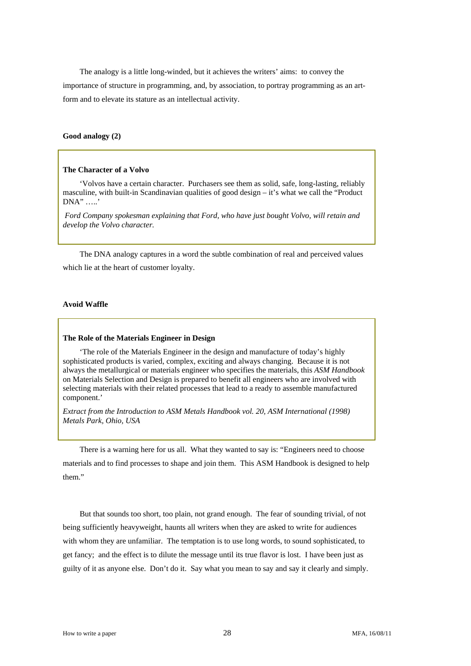The analogy is a little long-winded, but it achieves the writers' aims: to convey the importance of structure in programming, and, by association, to portray programming as an artform and to elevate its stature as an intellectual activity.

# **Good analogy (2)**

#### **The Character of a Volvo**

 'Volvos have a certain character. Purchasers see them as solid, safe, long-lasting, reliably masculine, with built-in Scandinavian qualities of good design – it's what we call the "Product DNA" …..'

 *Ford Company spokesman explaining that Ford, who have just bought Volvo, will retain and develop the Volvo character.* 

 The DNA analogy captures in a word the subtle combination of real and perceived values which lie at the heart of customer loyalty.

#### **Avoid Waffle**

#### **The Role of the Materials Engineer in Design**

 'The role of the Materials Engineer in the design and manufacture of today's highly sophisticated products is varied, complex, exciting and always changing. Because it is not always the metallurgical or materials engineer who specifies the materials, this *ASM Handbook* on Materials Selection and Design is prepared to benefit all engineers who are involved with selecting materials with their related processes that lead to a ready to assemble manufactured component.'

*Extract from the Introduction to ASM Metals Handbook vol. 20, ASM International (1998) Metals Park, Ohio, USA* 

 There is a warning here for us all. What they wanted to say is: "Engineers need to choose materials and to find processes to shape and join them. This ASM Handbook is designed to help them."

 But that sounds too short, too plain, not grand enough. The fear of sounding trivial, of not being sufficiently heavyweight, haunts all writers when they are asked to write for audiences with whom they are unfamiliar. The temptation is to use long words, to sound sophisticated, to get fancy; and the effect is to dilute the message until its true flavor is lost. I have been just as guilty of it as anyone else. Don't do it. Say what you mean to say and say it clearly and simply.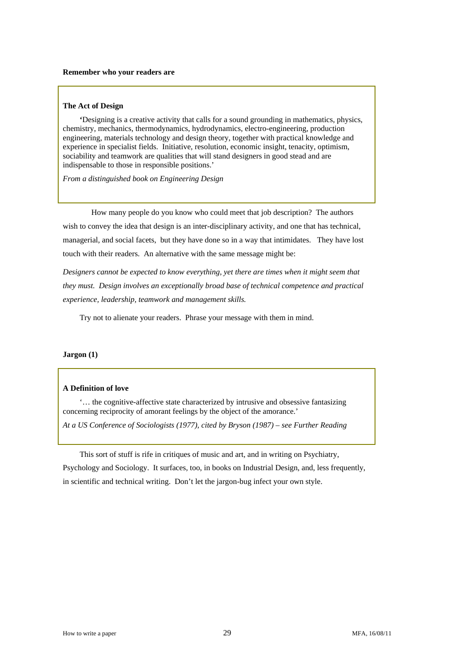#### **The Act of Design**

 **'**Designing is a creative activity that calls for a sound grounding in mathematics, physics, chemistry, mechanics, thermodynamics, hydrodynamics, electro-engineering, production engineering, materials technology and design theory, together with practical knowledge and experience in specialist fields. Initiative, resolution, economic insight, tenacity, optimism, sociability and teamwork are qualities that will stand designers in good stead and are indispensable to those in responsible positions.'

*From a distinguished book on Engineering Design* 

 How many people do you know who could meet that job description? The authors wish to convey the idea that design is an inter-disciplinary activity, and one that has technical, managerial, and social facets, but they have done so in a way that intimidates. They have lost touch with their readers. An alternative with the same message might be:

*Designers cannot be expected to know everything, yet there are times when it might seem that they must. Design involves an exceptionally broad base of technical competence and practical experience, leadership, teamwork and management skills.* 

Try not to alienate your readers. Phrase your message with them in mind.

#### **Jargon (1)**

#### **A Definition of love**

'… the cognitive-affective state characterized by intrusive and obsessive fantasizing concerning reciprocity of amorant feelings by the object of the amorance.'

*At a US Conference of Sociologists (1977), cited by Bryson (1987) – see Further Reading* 

This sort of stuff is rife in critiques of music and art, and in writing on Psychiatry,

Psychology and Sociology. It surfaces, too, in books on Industrial Design, and, less frequently, in scientific and technical writing. Don't let the jargon-bug infect your own style.